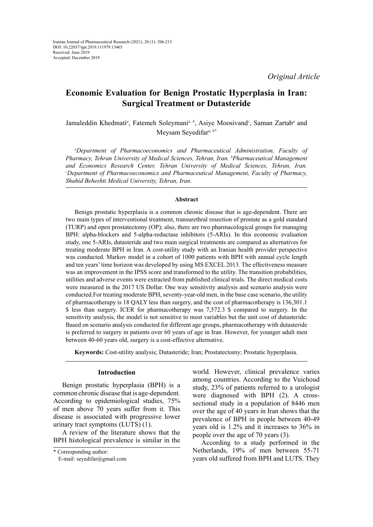*Original Article*

# **Economic Evaluation for Benign Prostatic Hyperplasia in Iran: Surgical Treatment or Dutasteride**

Jamaleddin Khedmati<sup>a</sup>, Fatemeh Soleymani<sup>a, b</sup>, Asiye Moosivand<sup>c</sup>, Saman Zartab<sup>a</sup> and Meysam Seyedifar*a, b\**

*a Department of Pharmacoeconomics and Pharmaceutical Administration, Faculty of Pharmacy, Tehran University of Medical Sciences, Tehran, Iran. b Pharmaceutical Management and Economics Research Center, Tehran University of Medical Sciences, Tehran, Iran. c Department of Pharmacoeconomics and Pharmaceutical Management, Faculty of Pharmacy, Shahid Beheshti Medical University, Tehran, Iran.*

#### **Abstract**

Benign prostatic hyperplasia is a common chronic disease that is age-dependent. There are two main types of interventional treatment, transurethral resection of prostate as a gold standard (TURP) and open prostatectomy (OP); also, there are two pharmacological groups for managing BPH: alpha-blockers and 5-alpha-reductase inhibitors (5-ARIs). In this economic evaluation study, one 5-ARIs, dutasteride and two main surgical treatments are compared as alternatives for treating moderate BPH in Iran. A cost-utility study with an Iranian health provider perspective was conducted. Markov model in a cohort of 1000 patients with BPH with annual cycle length and ten years' time horizon was developed by using MS EXCEL 2013. The effectiveness measure was an improvement in the IPSS score and transformed to the utility. The transition probabilities, utilities and adverse events were extracted from published clinical trials. The direct medical costs were measured in the 2017 US Dollar. One way sensitivity analysis and scenario analysis were conducted.For treating moderate BPH, seventy-year-old men, in the base case scenario, the utility of pharmacotherapy is 18 QALY less than surgery, and the cost of pharmacotherapy is 136,301.1 \$ less than surgery. ICER for pharmacotherapy was 7,572.3 \$ compared to surgery. In the sensitivity analysis, the model is not sensitive to most variables but the unit cost of dutasteride. Based on scenario analysis conducted for different age groups, pharmacotherapy with dutasteride is preferred to surgery in patients over 60 years of age in Iran. However, for younger adult men between 40-60 years old, surgery is a cost-effective alternative.

**Keywords:** Cost-utility analysis; Dutasteride; Iran; Prostatectomy; Prostatic hyperplasia.

# **Introduction**

Benign prostatic hyperplasia (BPH) is a common chronic disease that is age-dependent. According to epidemiological studies, 75% of men above 70 years suffer from it. This disease is associated with progressive lower urinary tract symptoms (LUTS) (1).

A review of the literature shows that the BPH histological prevalence is similar in the world. However, clinical prevalence varies among countries. According to the Vuichoud study, 23% of patients referred to a urologist were diagnosed with BPH (2). A crosssectional study in a population of 8446 men over the age of 40 years in Iran shows that the prevalence of BPH in people between 40-49 years old is 1.2% and it increases to 36% in people over the age of 70 years (3).

According to a study performed in the Netherlands, 19% of men between 55-71 years old suffered from BPH and LUTS. They

<sup>\*</sup> Corresponding author:

E-mail: seyedifar@gmail.com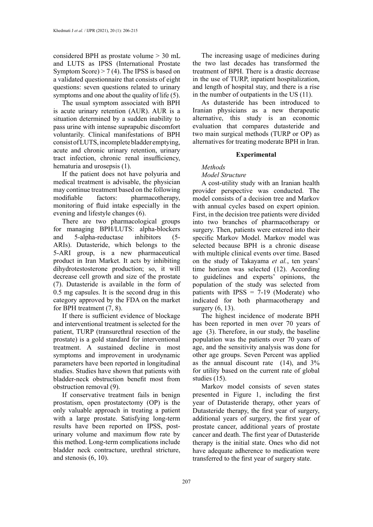considered BPH as prostate volume > 30 mL and LUTS as IPSS (International Prostate Symptom Score) > 7 (4). The IPSS is based on a validated questionnaire that consists of eight questions: seven questions related to urinary symptoms and one about the quality of life (5).

The usual symptom associated with BPH is acute urinary retention (AUR). AUR is a situation determined by a sudden inability to pass urine with intense suprapubic discomfort voluntarily. Clinical manifestations of BPH consist of LUTS, incomplete bladder emptying, acute and chronic urinary retention, urinary tract infection, chronic renal insufficiency, hematuria and urosepsis (1).

If the patient does not have polyuria and medical treatment is advisable, the physician may continue treatment based on the following modifiable factors: pharmacotherapy, monitoring of fluid intake especially in the evening and lifestyle changes (6).

There are two pharmacological groups for managing BPH/LUTS: alpha-blockers and 5-alpha-reductase inhibitors (5- ARIs). Dutasteride, which belongs to the 5-ARI group, is a new pharmaceutical product in Iran Market. It acts by inhibiting dihydrotestosterone production; so, it will decrease cell growth and size of the prostate (7). Dutasteride is available in the form of 0.5 mg capsules. It is the second drug in this category approved by the FDA on the market for BPH treatment (7, 8).

If there is sufficient evidence of blockage and interventional treatment is selected for the patient, TURP (transurethral resection of the prostate) is a gold standard for interventional treatment. A sustained decline in most symptoms and improvement in urodynamic parameters have been reported in longitudinal studies. Studies have shown that patients with bladder-neck obstruction benefit most from obstruction removal (9).

If conservative treatment fails in benign prostatism, open prostatectomy (OP) is the only valuable approach in treating a patient with a large prostate. Satisfying long-term results have been reported on IPSS, posturinary volume and maximum flow rate by this method. Long-term complications include bladder neck contracture, urethral stricture, and stenosis (6, 10).

The increasing usage of medicines during the two last decades has transformed the treatment of BPH. There is a drastic decrease in the use of TURP, inpatient hospitalization, and length of hospital stay, and there is a rise in the number of outpatients in the US (11).

As dutasteride has been introduced to Iranian physicians as a new therapeutic alternative, this study is an economic evaluation that compares dutasteride and two main surgical methods (TURP or OP) as alternatives for treating moderate BPH in Iran.

# **Experimental**

*Methods*

#### *Model Structure*

A cost-utility study with an Iranian health provider perspective was conducted. The model consists of a decision tree and Markov with annual cycles based on expert opinion. First, in the decision tree patients were divided into two branches of pharmacotherapy or surgery. Then, patients were entered into their specific Markov Model. Markov model was selected because BPH is a chronic disease with multiple clinical events over time. Based on the study of Takayama *et al.*, ten years' time horizon was selected (12). According to guidelines and experts' opinions, the population of the study was selected from patients with IPSS  $= 7-19$  (Moderate) who indicated for both pharmacotherapy and surgery (6, 13).

The highest incidence of moderate BPH has been reported in men over 70 years of age (3). Therefore, in our study, the baseline population was the patients over 70 years of age, and the sensitivity analysis was done for other age groups. Seven Percent was applied as the annual discount rate (14), and 3% for utility based on the current rate of global studies (15).

Markov model consists of seven states presented in Figure 1, including the first year of Dutasteride therapy, other years of Dutasteride therapy, the first year of surgery, additional years of surgery, the first year of prostate cancer, additional years of prostate cancer and death. The first year of Dutasteride therapy is the initial state. Ones who did not have adequate adherence to medication were transferred to the first year of surgery state.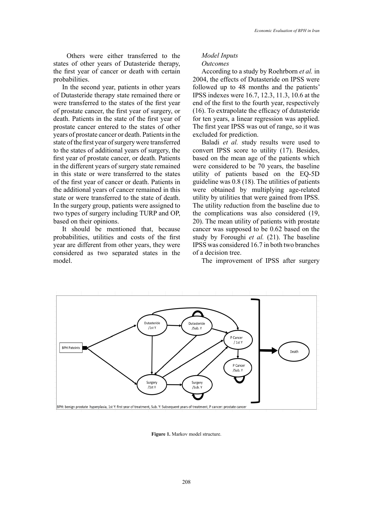Others were either transferred to the states of other years of Dutasteride therapy, the first year of cancer or death with certain probabilities.

In the second year, patients in other years of Dutasteride therapy state remained there or were transferred to the states of the first year of prostate cancer, the first year of surgery, or death. Patients in the state of the first year of prostate cancer entered to the states of other years of prostate cancer or death. Patients in the state of the first year of surgery were transferred to the states of additional years of surgery, the first year of prostate cancer, or death. Patients in the different years of surgery state remained in this state or were transferred to the states of the first year of cancer or death. Patients in the additional years of cancer remained in this state or were transferred to the state of death. In the surgery group, patients were assigned to two types of surgery including TURP and OP, based on their opinions.

It should be mentioned that, because probabilities, utilities and costs of the first year are different from other years, they were considered as two separated states in the model.

# *Model Inputs Outcomes*

According to a study by Roehrborn *et al.* in 2004, the effects of Dutasteride on IPSS were followed up to 48 months and the patients' IPSS indexes were 16.7, 12.3, 11.3, 10.6 at the end of the first to the fourth year, respectively (16). To extrapolate the efficacy of dutasteride for ten years, a linear regression was applied. The first year IPSS was out of range, so it was excluded for prediction.

Baladi *et al.* study results were used to convert IPSS score to utility (17). Besides, based on the mean age of the patients which were considered to be 70 years, the baseline utility of patients based on the EQ-5D guideline was 0.8 (18). The utilities of patients were obtained by multiplying age-related utility by utilities that were gained from IPSS. The utility reduction from the baseline due to the complications was also considered (19, 20). The mean utility of patients with prostate cancer was supposed to be 0.62 based on the study by Foroughi *et al.* (21). The baseline IPSS was considered 16.7 in both two branches of a decision tree.

The improvement of IPSS after surgery



**Figure 1.** Markov model structure.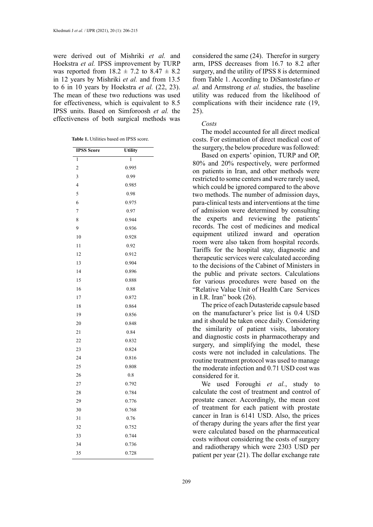were derived out of Mishriki *et al.* and Hoekstra *et al.* IPSS improvement by TURP was reported from  $18.2 \pm 7.2$  to  $8.47 \pm 8.2$ in 12 years by Mishriki *et al.* and from 13.5 to 6 in 10 years by Hoekstra *et al.* (22, 23). The mean of these two reductions was used for effectiveness, which is equivalent to 8.5 IPSS units. Based on Simforoosh *et al.* the effectiveness of both surgical methods was

| <b>Table 1.</b> Utilities based on IPSS score. |  |  |  |
|------------------------------------------------|--|--|--|

| <b>IPSS Score</b>       | <b>Utility</b> |
|-------------------------|----------------|
| 1                       | 1              |
| $\overline{c}$          | 0.995          |
| 3                       | 0.99           |
| $\overline{\mathbf{r}}$ | 0.985          |
| 5                       | 0.98           |
| 6                       | 0.975          |
| 7                       | 0.97           |
| 8                       | 0.944          |
| 9                       | 0.936          |
| 10                      | 0.928          |
| 11                      | 0.92           |
| 12                      | 0.912          |
| 13                      | 0.904          |
| 14                      | 0.896          |
| 15                      | 0.888          |
| 16                      | 0.88           |
| 17                      | 0.872          |
| 18                      | 0.864          |
| 19                      | 0.856          |
| 20                      | 0.848          |
| 21                      | 0.84           |
| 22                      | 0.832          |
| 23                      | 0.824          |
| 24                      | 0.816          |
| 25                      | 0.808          |
| 26                      | 0.8            |
| 27                      | 0.792          |
| 28                      | 0.784          |
| 29                      | 0.776          |
| 30                      | 0.768          |
| 31                      | 0.76           |
| 32                      | 0.752          |
| 33                      | 0.744          |
| 34                      | 0.736          |
| 35                      | 0.728          |

considered the same (24). Therefor in surgery arm, IPSS decreases from 16.7 to 8.2 after surgery, and the utility of IPSS 8 is determined from Table 1. According to DiSantostefano *et al.* and Armstrong *et al.* studies, the baseline utility was reduced from the likelihood of complications with their incidence rate (19, 25).

# *Costs*

The model accounted for all direct medical costs. For estimation of direct medical cost of the surgery, the below procedure was followed:

Based on experts' opinion, TURP and OP, 80% and 20% respectively, were performed on patients in Iran, and other methods were restricted to some centers and were rarely used, which could be ignored compared to the above two methods. The number of admission days, para-clinical tests and interventions at the time of admission were determined by consulting the experts and reviewing the patients' records. The cost of medicines and medical equipment utilized inward and operation room were also taken from hospital records. Tariffs for the hospital stay, diagnostic and therapeutic services were calculated according to the decisions of the Cabinet of Ministers in the public and private sectors. Calculations for various procedures were based on the "Relative Value Unit of Health Care Services in I.R. Iran" book (26).

The price of each Dutasteride capsule based on the manufacturer's price list is 0.4 USD and it should be taken once daily. Considering the similarity of patient visits, laboratory and diagnostic costs in pharmacotherapy and surgery, and simplifying the model, these costs were not included in calculations. The routine treatment protocol was used to manage the moderate infection and 0.71 USD cost was considered for it.

We used Foroughi *et al.*, study to calculate the cost of treatment and control of prostate cancer. Accordingly, the mean cost of treatment for each patient with prostate cancer in Iran is 6141 USD. Also, the prices of therapy during the years after the first year were calculated based on the pharmaceutical costs without considering the costs of surgery and radiotherapy which were 2303 USD per patient per year (21). The dollar exchange rate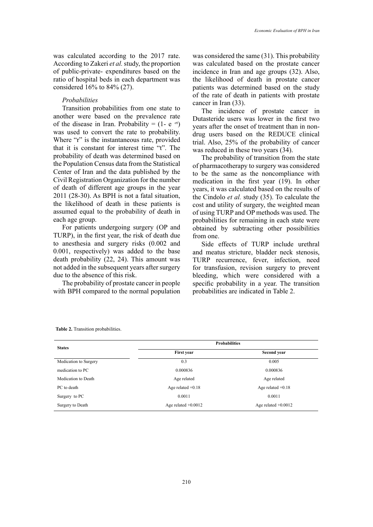was calculated according to the 2017 rate. According to Zakeri *et al.* study, the proportion of public-private- expenditures based on the ratio of hospital beds in each department was considered 16% to 84% (27).

# *Probabilities*

Transition probabilities from one state to another were based on the prevalence rate of the disease in Iran. Probability =  $(1 - e^{-rt})$ was used to convert the rate to probability. Where "r" is the instantaneous rate, provided that it is constant for interest time "t". The probability of death was determined based on the Population Census data from the Statistical Center of Iran and the data published by the Civil Registration Organization for the number of death of different age groups in the year 2011 (28-30). As BPH is not a fatal situation, the likelihood of death in these patients is assumed equal to the probability of death in each age group.

For patients undergoing surgery (OP and TURP), in the first year, the risk of death due to anesthesia and surgery risks (0.002 and 0.001, respectively) was added to the base death probability (22, 24). This amount was not added in the subsequent years after surgery due to the absence of this risk.

The probability of prostate cancer in people with BPH compared to the normal population

was considered the same (31). This probability was calculated based on the prostate cancer incidence in Iran and age groups (32). Also, the likelihood of death in prostate cancer patients was determined based on the study of the rate of death in patients with prostate cancer in Iran (33).

The incidence of prostate cancer in Dutasteride users was lower in the first two years after the onset of treatment than in nondrug users based on the REDUCE clinical trial. Also, 25% of the probability of cancer was reduced in these two years (34).

The probability of transition from the state of pharmacotherapy to surgery was considered to be the same as the noncompliance with medication in the first year (19). In other years, it was calculated based on the results of the Cindolo *et al.* study (35). To calculate the cost and utility of surgery, the weighted mean of using TURP and OP methods was used. The probabilities for remaining in each state were obtained by subtracting other possibilities from one.

Side effects of TURP include urethral and meatus stricture, bladder neck stenosis, TURP recurrence, fever, infection, need for transfusion, revision surgery to prevent bleeding, which were considered with a specific probability in a year. The transition probabilities are indicated in Table 2.

|  |  | Table 2. Transition probabilities. |
|--|--|------------------------------------|
|--|--|------------------------------------|

| <b>States</b>         | <b>Probabilities</b>  |                       |  |  |
|-----------------------|-----------------------|-----------------------|--|--|
|                       | <b>First year</b>     | Second year           |  |  |
| Medication to Surgery | 0.3                   | 0.005                 |  |  |
| medication to PC      | 0.000836              | 0.000836              |  |  |
| Medication to Death   | Age related           | Age related           |  |  |
| PC to death           | Age related $+0.18$   | Age related $+0.18$   |  |  |
| Surgery to PC         | 0.0011                | 0.0011                |  |  |
| Surgery to Death      | Age related $+0.0012$ | Age related $+0.0012$ |  |  |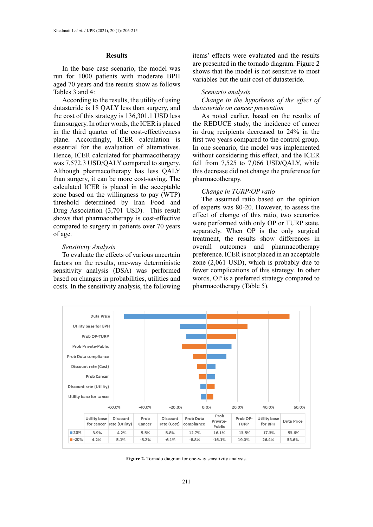# **Results**

In the base case scenario, the model was run for 1000 patients with moderate BPH aged 70 years and the results show as follows Tables 3 and 4:

According to the results, the utility of using dutasteride is 18 QALY less than surgery, and the cost of this strategy is 136,301.1 USD less than surgery. In other words, the ICER is placed in the third quarter of the cost-effectiveness plane. Accordingly, ICER calculation is essential for the evaluation of alternatives. Hence, ICER calculated for pharmacotherapy was 7,572.3 USD/QALY compared to surgery. Although pharmacotherapy has less QALY than surgery, it can be more cost-saving. The calculated ICER is placed in the acceptable zone based on the willingness to pay (WTP) threshold determined by Iran Food and Drug Association (3,701 USD). This result shows that pharmacotherapy is cost-effective compared to surgery in patients over 70 years of age.

#### *Sensitivity Analysis*

To evaluate the effects of various uncertain factors on the results, one-way deterministic sensitivity analysis (DSA) was performed based on changes in probabilities, utilities and costs. In the sensitivity analysis, the following items' effects were evaluated and the results are presented in the tornado diagram. Figure 2 shows that the model is not sensitive to most variables but the unit cost of dutasteride.

#### *Scenario analysis*

*Change in the hypothesis of the effect of dutasteride on cancer prevention*

As noted earlier, based on the results of the REDUCE study, the incidence of cancer in drug recipients decreased to 24% in the first two years compared to the control group. In one scenario, the model was implemented without considering this effect, and the ICER fell from 7,525 to 7,066 USD/QALY, while this decrease did not change the preference for pharmacotherapy.

#### *Change in TURP/OP ratio*

The assumed ratio based on the opinion of experts was 80-20. However, to assess the effect of change of this ratio, two scenarios were performed with only OP or TURP state, separately. When OP is the only surgical treatment, the results show differences in overall outcomes and pharmacotherapy preference. ICER is not placed in an acceptable zone (2,061 USD), which is probably due to fewer complications of this strategy. In other words, OP is a preferred strategy compared to pharmacotherapy (Table 5).



Figure 2. Tornado diagram for one-way sensitivity analysis.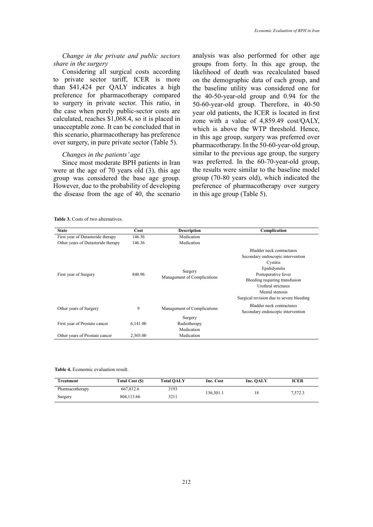# *Change in the private and public sectors share in the surgery*

Considering all surgical costs according to private sector tariff, ICER is more than \$41,424 per QALY indicates a high preference for pharmacotherapy compared to surgery in private sector. This ratio, in the case when purely public-sector costs are calculated, reaches \$1,068.4, so it is placed in unacceptable zone. It can be concluded that in this scenario, pharmacotherapy has preference over surgery, in pure private sector (Table 5).

# *Changes in the patients' age*

Since most moderate BPH patients in Iran were at the age of 70 years old (3), this age group was considered the base age group. However, due to the probability of developing the disease from the age of 40, the scenario

analysis was also performed for other age groups from forty. In this age group, the likelihood of death was recalculated based on the demographic data of each group, and the baseline utility was considered one for the 40-50-year-old group and 0.94 for the 50-60-year-old group. Therefore, in 40-50 year old patients, the ICER is located in first zone with a value of 4,859.49 cost/QALY, which is above the WTP threshold. Hence, in this age group, surgery was preferred over pharmacotherapy. In the 50-60-year-old group, similar to the previous age group, the surgery was preferred. In the 60-70-year-old group, the results were similar to the baseline model group (70-80 years old), which indicated the preference of pharmacotherapy over surgery in this age group (Table 5).

**Table 3.** Costs of two alternatives. **Table 3.** Costs of two alternatives.

| <b>State</b>                       | Cost     | <b>Description</b>                     | Complication                                                                                                                                                                                                                              |
|------------------------------------|----------|----------------------------------------|-------------------------------------------------------------------------------------------------------------------------------------------------------------------------------------------------------------------------------------------|
| First year of Dutasteride therapy  | 146.36   | Medication                             |                                                                                                                                                                                                                                           |
| Other years of Dutasteride therapy | 146.36   | Medication                             |                                                                                                                                                                                                                                           |
| First year of Surgery              | 840.96   | Surgery<br>Management of Complications | Bladder neck contractures<br>Secondary endoscopic intervention<br>Cystitis<br>Epididymitis<br>Postoperative fever<br>Bleeding requiring transfusion<br>Urethral strictures<br>Meatal stenosis<br>Surgical revision due to severe bleeding |
| Other years of Surgery             | 9        | Management of Complications            | Bladder neck contractures<br>Secondary endoscopic intervention                                                                                                                                                                            |
|                                    |          | Surgery                                |                                                                                                                                                                                                                                           |
| First year of Prostate cancer      | 6,141.00 | Radiotherapy                           |                                                                                                                                                                                                                                           |
|                                    |          | Medication                             |                                                                                                                                                                                                                                           |
| Other years of Prostate cancer     | 2,303.00 | Medication                             |                                                                                                                                                                                                                                           |

**Table 4.** Economic evaluation result. **Table 4.** Economic evaluation result.

| Treatment       | Total Cost (\$) | <b>Total OALY</b> | Inc. Cost | Inc. OALY | ICER    |
|-----------------|-----------------|-------------------|-----------|-----------|---------|
| Pharmacotherapy | 667.812.6       | 3193              | 136.301.1 | 18        | 7,572.3 |
| Surgery         | 804.113.66      | 3211              |           |           |         |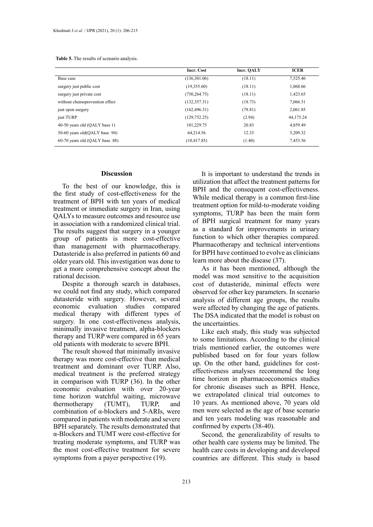|  | <b>Table 5.</b> The results of scenario analysis. |  |  |
|--|---------------------------------------------------|--|--|
|--|---------------------------------------------------|--|--|

| Incr. Cost     | Incr. OALY | <b>ICER</b> |
|----------------|------------|-------------|
| (136,301.06)   | (18.11)    | 7,525.46    |
| (19,355.60)    | (18.11)    | 1,068.66    |
| (750, 264, 75) | (18.11)    | 1,423.65    |
| (132, 357.31)  | (18.73)    | 7.066.31    |
| (162, 496.31)  | (78.81)    | 2,061.85    |
| (129, 752.25)  | (2.94)     | 44,175.24   |
| 101,229.75     | 20.83      | 4,859.49    |
| 64.214.56      | 12.33      | 5.209.32    |
| (10, 417.85)   | (1.40)     | 7,453.56    |
|                |            |             |

# **Discussion**

To the best of our knowledge, this is the first study of cost-effectiveness for the treatment of BPH with ten years of medical treatment or immediate surgery in Iran, using QALYs to measure outcomes and resource use in association with a randomized clinical trial. The results suggest that surgery in a younger group of patients is more cost-effective than management with pharmacotherapy. Dutasteride is also preferred in patients 60 and older years old. This investigation was done to get a more comprehensive concept about the rational decision.

Despite a thorough search in databases, we could not find any study, which compared dutasteride with surgery. However, several economic evaluation studies compared medical therapy with different types of surgery. In one cost-effectiveness analysis, minimally invasive treatment, alpha-blockers therapy and TURP were compared in 65 years old patients with moderate to severe BPH.

The result showed that minimally invasive therapy was more cost-effective than medical treatment and dominant over TURP. Also, medical treatment is the preferred strategy in comparison with TURP (36). In the other economic evaluation with over 20-year time horizon watchful waiting, microwave thermotherapy (TUMT), TURP, and combination of α-blockers and 5-ARIs, were compared in patients with moderate and severe BPH separately. The results demonstrated that α-Blockers and TUMT were cost-effective for treating moderate symptoms, and TURP was the most cost-effective treatment for severe symptoms from a payer perspective (19).

It is important to understand the trends in utilization that affect the treatment patterns for BPH and the consequent cost-effectiveness. While medical therapy is a common first-line treatment option for mild-to-moderate voiding symptoms, TURP has been the main form of BPH surgical treatment for many years as a standard for improvements in urinary function to which other therapies compared. Pharmacotherapy and technical interventions for BPH have continued to evolve as clinicians learn more about the disease (37).

As it has been mentioned, although the model was most sensitive to the acquisition cost of dutasteride, minimal effects were observed for other key parameters. In scenario analysis of different age groups, the results were affected by changing the age of patients. The DSA indicated that the model is robust on the uncertainties.

Like each study, this study was subjected to some limitations. According to the clinical trials mentioned earlier, the outcomes were published based on for four years follow up. On the other hand, guidelines for costeffectiveness analyses recommend the long time horizon in pharmacoeconomics studies for chronic diseases such as BPH. Hence, we extrapolated clinical trial outcomes to 10 years. As mentioned above, 70 years old men were selected as the age of base scenario and ten years modeling was reasonable and confirmed by experts (38-40).

Second, the generalizability of results to other health care systems may be limited. The health care costs in developing and developed countries are different. This study is based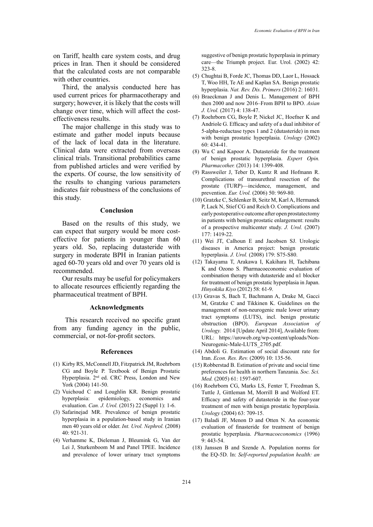on Tariff, health care system costs, and drug prices in Iran. Then it should be considered that the calculated costs are not comparable with other countries.

Third, the analysis conducted here has used current prices for pharmacotherapy and surgery; however, it is likely that the costs will change over time, which will affect the costeffectiveness results.

The major challenge in this study was to estimate and gather model inputs because of the lack of local data in the literature. Clinical data were extracted from overseas clinical trials. Transitional probabilities came from published articles and were verified by the experts. Of course, the low sensitivity of the results to changing various parameters indicates fair robustness of the conclusions of this study.

#### **Conclusion**

Based on the results of this study, we can expect that surgery would be more costeffective for patients in younger than 60 years old. So, replacing dutasteride with surgery in moderate BPH in Iranian patients aged 60-70 years old and over 70 years old is recommended.

Our results may be useful for policymakers to allocate resources efficiently regarding the pharmaceutical treatment of BPH.

#### **Acknowledgments**

This research received no specific grant from any funding agency in the public, commercial, or not-for-profit sectors.

# **References**

- (1) Kirby RS, McConnell JD, Fitzpatrick JM, Roehrborn CG and Boyle P. Textbook of Benign Prostatic Hyperplasia. 2nd ed. CRC Press, London and New York (2004) 141-50.
- (2) Vuichoud C and Loughlin KR. Benign prostatic hyperplasia: epidemiology, economics and evaluation. *Can. J. Urol.* (2015) 22 (Suppl 1): 1-6.
- (3) Safarinejad MR. Prevalence of benign prostatic hyperplasia in a population-based study in Iranian men 40 years old or older. *Int. Urol. Nephrol.* (2008) 40: 921-31.
- (4) Verhamme K, Dieleman J, Bleumink G, Van der Lei J, Sturkenboom M and Panel TPEE. Incidence and prevalence of lower urinary tract symptoms

suggestive of benign prostatic hyperplasia in primary care—the Triumph project. Eur. Urol. (2002) 42: 323-8.

- (5) Chughtai B, Forde JC, Thomas DD, Laor L, Hossack T, Woo HH, Te AE and Kaplan SA. Benign prostatic hyperplasia. *Nat. Rev. Dis. Primers* (2016) 2: 16031.
- (6) Braeckman J and Denis L. Management of BPH then 2000 and now 2016–From BPH to BPO. *Asian J. Urol.* (2017) 4: 138-47.
- (7) Roehrborn CG, Boyle P, Nickel JC, Hoefner K and Andriole G. Efficacy and safety of a dual inhibitor of 5-alpha-reductase types 1 and 2 (dutasteride) in men with benign prostatic hyperplasia. *Urology* (2002) 60: 434-41.
- (8) Wu C and Kapoor A. Dutasteride for the treatment of benign prostatic hyperplasia. *Expert Opin. Pharmacother.* (2013) 14: 1399-408.
- (9) Rassweiler J, Teber D, Kuntz R and Hofmann R. Complications of transurethral resection of the prostate (TURP)—incidence, management, and prevention. *Eur. Urol.* (2006) 50: 969-80.
- (10) Gratzke C, Schlenker B, Seitz M, Karl A, Hermanek P, Lack N, Stief CG and Reich O. Complications and early postoperative outcome after open prostatectomy in patients with benign prostatic enlargement: results of a prospective multicenter study. *J. Urol.* (2007) 177: 1419-22.
- (11) Wei JT, Calhoun E and Jacobsen SJ. Urologic diseases in America project: benign prostatic hyperplasia. *J. Urol.* (2008) 179: S75-S80.
- (12) Takayama T, Arakawa I, Kakihara H, Tachibana K and Ozono S. Pharmacoeconomic evaluation of combination therapy with dutasteride and α1 blocker for treatment of benign prostatic hyperplasia in Japan. *Hinyokika Kiyo* (2012) 58: 61-9.
- (13) Gravas S, Bach T, Bachmann A, Drake M, Gacci M, Gratzke C and Tikkinen K. Guidelines on the management of non-neurogenic male lower urinary tract symptoms (LUTS), incl. benign prostatic obstruction (BPO). *European Association of Urology.* 2014 [Update April 2014], Available from: URL: https://uroweb.org/wp-content/uploads/Non-Neurogenic-Male-LUTS\_2705.pdf.
- (14) Abdoli G. Estimation of social discount rate for Iran. *Econ. Res. Rev.* (2009) 10: 135-56.
- (15) Robberstad B. Estimation of private and social time preferences for health in northern Tanzania. *Soc. Sci. Med.* (2005) 61: 1597-607.
- (16) Roehrborn CG, Marks LS, Fenter T, Freedman S, Tuttle J, Gittleman M, Morrill B and Wolford ET. Efficacy and safety of dutasteride in the four-year treatment of men with benign prostatic hyperplasia. *Urology* (2004) 63: 709-15.
- (17) Baladi JF, Menon D and Otten N. An economic evaluation of finasteride for treatment of benign prostatic hyperplasia. *Pharmacoeconomics* (1996) 9: 443-54.
- (18) Janssen B and Szende A. Population norms for the EQ-5D. In: *Self-reported population health: an*